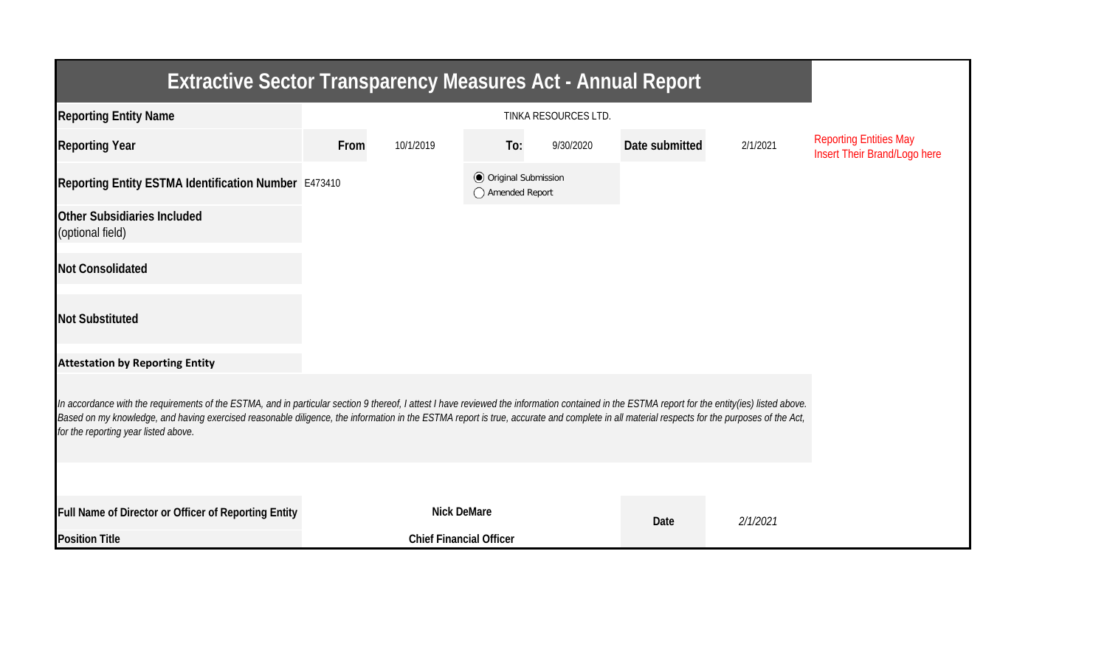| <b>Extractive Sector Transparency Measures Act - Annual Report</b>                                                                                                                                                                                                                                                                                                                                                                    |      |                                |                                                  |           |                |          |                                                               |  |  |  |
|---------------------------------------------------------------------------------------------------------------------------------------------------------------------------------------------------------------------------------------------------------------------------------------------------------------------------------------------------------------------------------------------------------------------------------------|------|--------------------------------|--------------------------------------------------|-----------|----------------|----------|---------------------------------------------------------------|--|--|--|
| <b>Reporting Entity Name</b>                                                                                                                                                                                                                                                                                                                                                                                                          |      |                                |                                                  |           |                |          |                                                               |  |  |  |
| <b>Reporting Year</b>                                                                                                                                                                                                                                                                                                                                                                                                                 | From | 10/1/2019                      | To:                                              | 9/30/2020 | Date submitted | 2/1/2021 | <b>Reporting Entities May</b><br>Insert Their Brand/Logo here |  |  |  |
| Reporting Entity ESTMA Identification Number E473410                                                                                                                                                                                                                                                                                                                                                                                  |      |                                | <b>◎</b> Original Submission<br>◯ Amended Report |           |                |          |                                                               |  |  |  |
| <b>Other Subsidiaries Included</b><br>(optional field)                                                                                                                                                                                                                                                                                                                                                                                |      |                                |                                                  |           |                |          |                                                               |  |  |  |
| <b>Not Consolidated</b>                                                                                                                                                                                                                                                                                                                                                                                                               |      |                                |                                                  |           |                |          |                                                               |  |  |  |
| <b>Not Substituted</b>                                                                                                                                                                                                                                                                                                                                                                                                                |      |                                |                                                  |           |                |          |                                                               |  |  |  |
| <b>Attestation by Reporting Entity</b>                                                                                                                                                                                                                                                                                                                                                                                                |      |                                |                                                  |           |                |          |                                                               |  |  |  |
| In accordance with the requirements of the ESTMA, and in particular section 9 thereof, I attest I have reviewed the information contained in the ESTMA report for the entity(ies) listed above.<br>Based on my knowledge, and having exercised reasonable diligence, the information in the ESTMA report is true, accurate and complete in all material respects for the purposes of the Act,<br>for the reporting year listed above. |      |                                |                                                  |           |                |          |                                                               |  |  |  |
|                                                                                                                                                                                                                                                                                                                                                                                                                                       |      |                                |                                                  |           |                |          |                                                               |  |  |  |
| Full Name of Director or Officer of Reporting Entity                                                                                                                                                                                                                                                                                                                                                                                  |      | <b>Nick DeMare</b>             |                                                  |           | Date           | 2/1/2021 |                                                               |  |  |  |
| <b>Position Title</b>                                                                                                                                                                                                                                                                                                                                                                                                                 |      | <b>Chief Financial Officer</b> |                                                  |           |                |          |                                                               |  |  |  |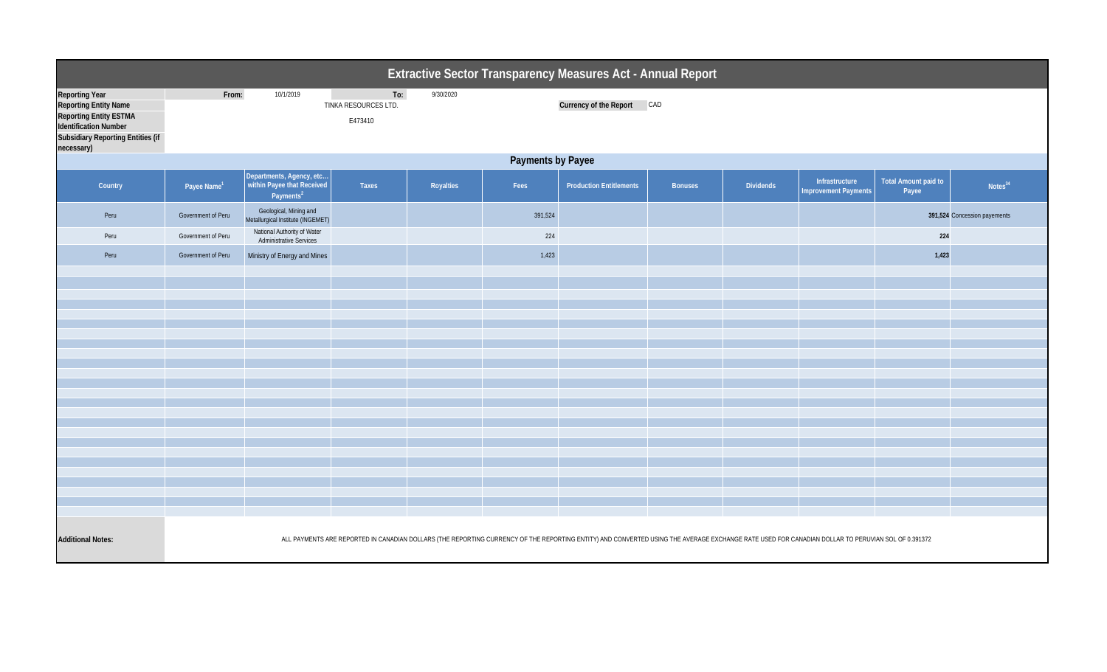|                                                                                                                                                                    | Extractive Sector Transparency Measures Act - Annual Report                                                                                                                                       |                                                                                 |                                        |           |         |                                |                |                  |                                               |                               |                              |  |
|--------------------------------------------------------------------------------------------------------------------------------------------------------------------|---------------------------------------------------------------------------------------------------------------------------------------------------------------------------------------------------|---------------------------------------------------------------------------------|----------------------------------------|-----------|---------|--------------------------------|----------------|------------------|-----------------------------------------------|-------------------------------|------------------------------|--|
| <b>Reporting Year</b><br><b>Reporting Entity Name</b><br><b>Reporting Entity ESTMA</b><br>Identification Number<br>Subsidiary Reporting Entities (if<br>necessary) | From:                                                                                                                                                                                             | 10/1/2019                                                                       | To:<br>TINKA RESOURCES LTD.<br>E473410 | 9/30/2020 |         | Currency of the Report CAD     |                |                  |                                               |                               |                              |  |
|                                                                                                                                                                    | Payments by Payee                                                                                                                                                                                 |                                                                                 |                                        |           |         |                                |                |                  |                                               |                               |                              |  |
| Country                                                                                                                                                            | Payee Name <sup>1</sup>                                                                                                                                                                           | Departments, Agency, etc<br>within Payee that Received<br>Payments <sup>2</sup> | Taxes                                  | Royalties | Fees    | <b>Production Entitlements</b> | <b>Bonuses</b> | <b>Dividends</b> | Infrastructure<br><b>Improvement Payments</b> | Total Amount paid to<br>Payee | Notes <sup>34</sup>          |  |
| Peru                                                                                                                                                               | Government of Peru                                                                                                                                                                                | Geological, Mining and<br>Metallurgical Institute (INGEMET)                     |                                        |           | 391,524 |                                |                |                  |                                               |                               | 391,524 Concession payements |  |
| Peru                                                                                                                                                               | Government of Peru                                                                                                                                                                                | National Authority of Water<br><b>Administrative Services</b>                   |                                        |           | 224     |                                |                |                  |                                               | 224                           |                              |  |
| Peru                                                                                                                                                               | Government of Peru                                                                                                                                                                                | Ministry of Energy and Mines                                                    |                                        |           | 1,423   |                                |                |                  |                                               | 1,423                         |                              |  |
|                                                                                                                                                                    |                                                                                                                                                                                                   |                                                                                 |                                        |           |         |                                |                |                  |                                               |                               |                              |  |
|                                                                                                                                                                    |                                                                                                                                                                                                   |                                                                                 |                                        |           |         |                                |                |                  |                                               |                               |                              |  |
|                                                                                                                                                                    |                                                                                                                                                                                                   |                                                                                 |                                        |           |         |                                |                |                  |                                               |                               |                              |  |
|                                                                                                                                                                    |                                                                                                                                                                                                   |                                                                                 |                                        |           |         |                                |                |                  |                                               |                               |                              |  |
|                                                                                                                                                                    |                                                                                                                                                                                                   |                                                                                 |                                        |           |         |                                |                |                  |                                               |                               |                              |  |
|                                                                                                                                                                    |                                                                                                                                                                                                   |                                                                                 |                                        |           |         |                                |                |                  |                                               |                               |                              |  |
|                                                                                                                                                                    |                                                                                                                                                                                                   |                                                                                 |                                        |           |         |                                |                |                  |                                               |                               |                              |  |
|                                                                                                                                                                    |                                                                                                                                                                                                   |                                                                                 |                                        |           |         |                                |                |                  |                                               |                               |                              |  |
|                                                                                                                                                                    |                                                                                                                                                                                                   |                                                                                 |                                        |           |         |                                |                |                  |                                               |                               |                              |  |
|                                                                                                                                                                    |                                                                                                                                                                                                   |                                                                                 |                                        |           |         |                                |                |                  |                                               |                               |                              |  |
|                                                                                                                                                                    |                                                                                                                                                                                                   |                                                                                 |                                        |           |         |                                |                |                  |                                               |                               |                              |  |
|                                                                                                                                                                    |                                                                                                                                                                                                   |                                                                                 |                                        |           |         |                                |                |                  |                                               |                               |                              |  |
| <b>Additional Notes:</b>                                                                                                                                           | ALL PAYMENTS ARE REPORTED IN CANADIAN DOLLARS (THE REPORTING CURRENCY OF THE REPORTING ENTITY) AND CONVERTED USING THE AVERAGE EXCHANGE RATE USED FOR CANADIAN DOLLAR TO PERUVIAN SOL OF 0.391372 |                                                                                 |                                        |           |         |                                |                |                  |                                               |                               |                              |  |